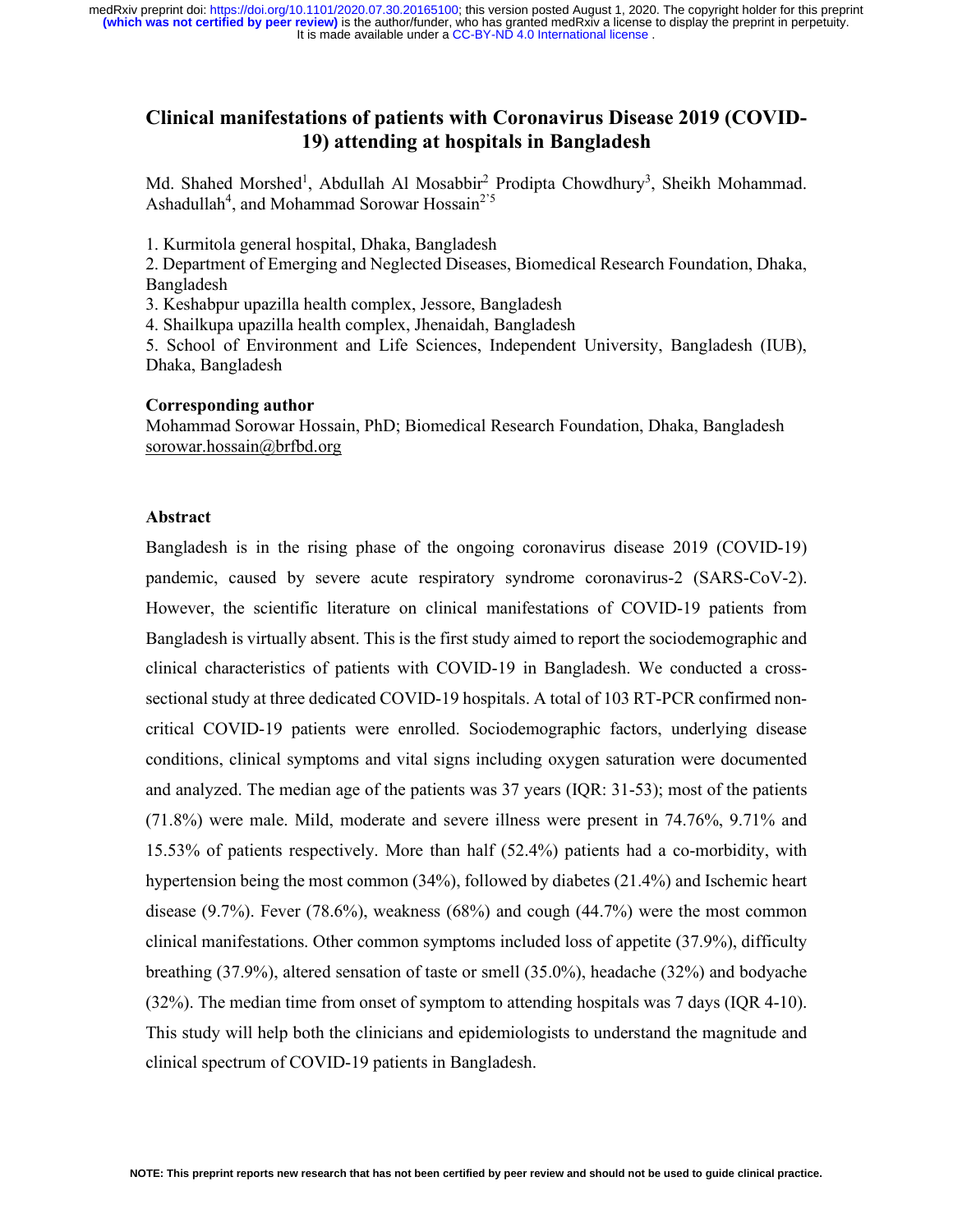# **Clinical manifestations of patients with Coronavirus Disease 2019 (COVID-19) attending at hospitals in Bangladesh**

Md. Shahed Morshed<sup>1</sup>, Abdullah Al Mosabbir<sup>2</sup> Prodipta Chowdhury<sup>3</sup>, Sheikh Mohammad. Ashadullah<sup>4</sup>, and Mohammad Sorowar Hossain<sup>2'5</sup>

1. Kurmitola general hospital, Dhaka, Bangladesh

2. Department of Emerging and Neglected Diseases, Biomedical Research Foundation, Dhaka, Bangladesh

3. Keshabpur upazilla health complex, Jessore, Bangladesh

4. Shailkupa upazilla health complex, Jhenaidah, Bangladesh

5. School of Environment and Life Sciences, Independent University, Bangladesh (IUB), Dhaka, Bangladesh

#### **Corresponding author**

Mohammad Sorowar Hossain, PhD; Biomedical Research Foundation, Dhaka, Bangladesh sorowar.hossain@brfbd.org

#### **Abstract**

Bangladesh is in the rising phase of the ongoing coronavirus disease 2019 (COVID-19) pandemic, caused by severe acute respiratory syndrome coronavirus-2 (SARS-CoV-2). However, the scientific literature on clinical manifestations of COVID-19 patients from Bangladesh is virtually absent. This is the first study aimed to report the sociodemographic and clinical characteristics of patients with COVID-19 in Bangladesh. We conducted a crosssectional study at three dedicated COVID-19 hospitals. A total of 103 RT-PCR confirmed noncritical COVID-19 patients were enrolled. Sociodemographic factors, underlying disease conditions, clinical symptoms and vital signs including oxygen saturation were documented and analyzed. The median age of the patients was 37 years (IQR: 31-53); most of the patients (71.8%) were male. Mild, moderate and severe illness were present in 74.76%, 9.71% and 15.53% of patients respectively. More than half (52.4%) patients had a co-morbidity, with hypertension being the most common (34%), followed by diabetes (21.4%) and Ischemic heart disease  $(9.7\%)$ . Fever  $(78.6\%)$ , weakness  $(68\%)$  and cough  $(44.7\%)$  were the most common clinical manifestations. Other common symptoms included loss of appetite (37.9%), difficulty breathing (37.9%), altered sensation of taste or smell (35.0%), headache (32%) and bodyache (32%). The median time from onset of symptom to attending hospitals was 7 days (IQR 4-10). This study will help both the clinicians and epidemiologists to understand the magnitude and clinical spectrum of COVID-19 patients in Bangladesh.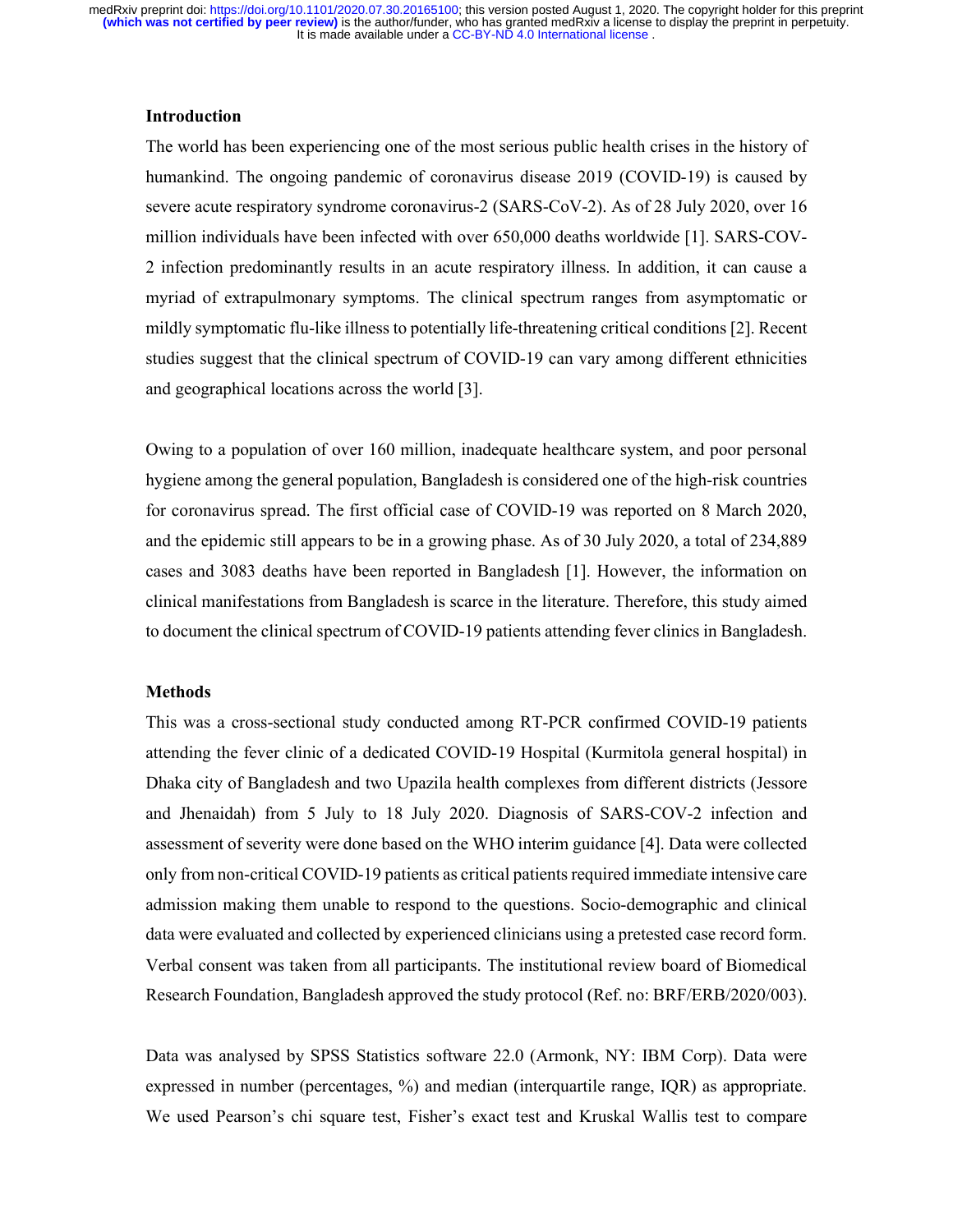### **Introduction**

The world has been experiencing one of the most serious public health crises in the history of humankind. The ongoing pandemic of coronavirus disease 2019 (COVID-19) is caused by severe acute respiratory syndrome coronavirus-2 (SARS-CoV-2). As of 28 July 2020, over 16 million individuals have been infected with over 650,000 deaths worldwide [1]. SARS-COV-2 infection predominantly results in an acute respiratory illness. In addition, it can cause a myriad of extrapulmonary symptoms. The clinical spectrum ranges from asymptomatic or mildly symptomatic flu-like illness to potentially life-threatening critical conditions [2]. Recent studies suggest that the clinical spectrum of COVID-19 can vary among different ethnicities and geographical locations across the world [3].

Owing to a population of over 160 million, inadequate healthcare system, and poor personal hygiene among the general population, Bangladesh is considered one of the high-risk countries for coronavirus spread. The first official case of COVID-19 was reported on 8 March 2020, and the epidemic still appears to be in a growing phase. As of 30 July 2020, a total of 234,889 cases and 3083 deaths have been reported in Bangladesh [1]. However, the information on clinical manifestations from Bangladesh is scarce in the literature. Therefore, this study aimed to document the clinical spectrum of COVID-19 patients attending fever clinics in Bangladesh.

#### **Methods**

This was a cross-sectional study conducted among RT-PCR confirmed COVID-19 patients attending the fever clinic of a dedicated COVID-19 Hospital (Kurmitola general hospital) in Dhaka city of Bangladesh and two Upazila health complexes from different districts (Jessore and Jhenaidah) from 5 July to 18 July 2020. Diagnosis of SARS-COV-2 infection and assessment of severity were done based on the WHO interim guidance [4]. Data were collected only from non-critical COVID-19 patients as critical patients required immediate intensive care admission making them unable to respond to the questions. Socio-demographic and clinical data were evaluated and collected by experienced clinicians using a pretested case record form. Verbal consent was taken from all participants. The institutional review board of Biomedical Research Foundation, Bangladesh approved the study protocol (Ref. no: BRF/ERB/2020/003).

Data was analysed by SPSS Statistics software 22.0 (Armonk, NY: IBM Corp). Data were expressed in number (percentages, %) and median (interquartile range, IQR) as appropriate. We used Pearson's chi square test, Fisher's exact test and Kruskal Wallis test to compare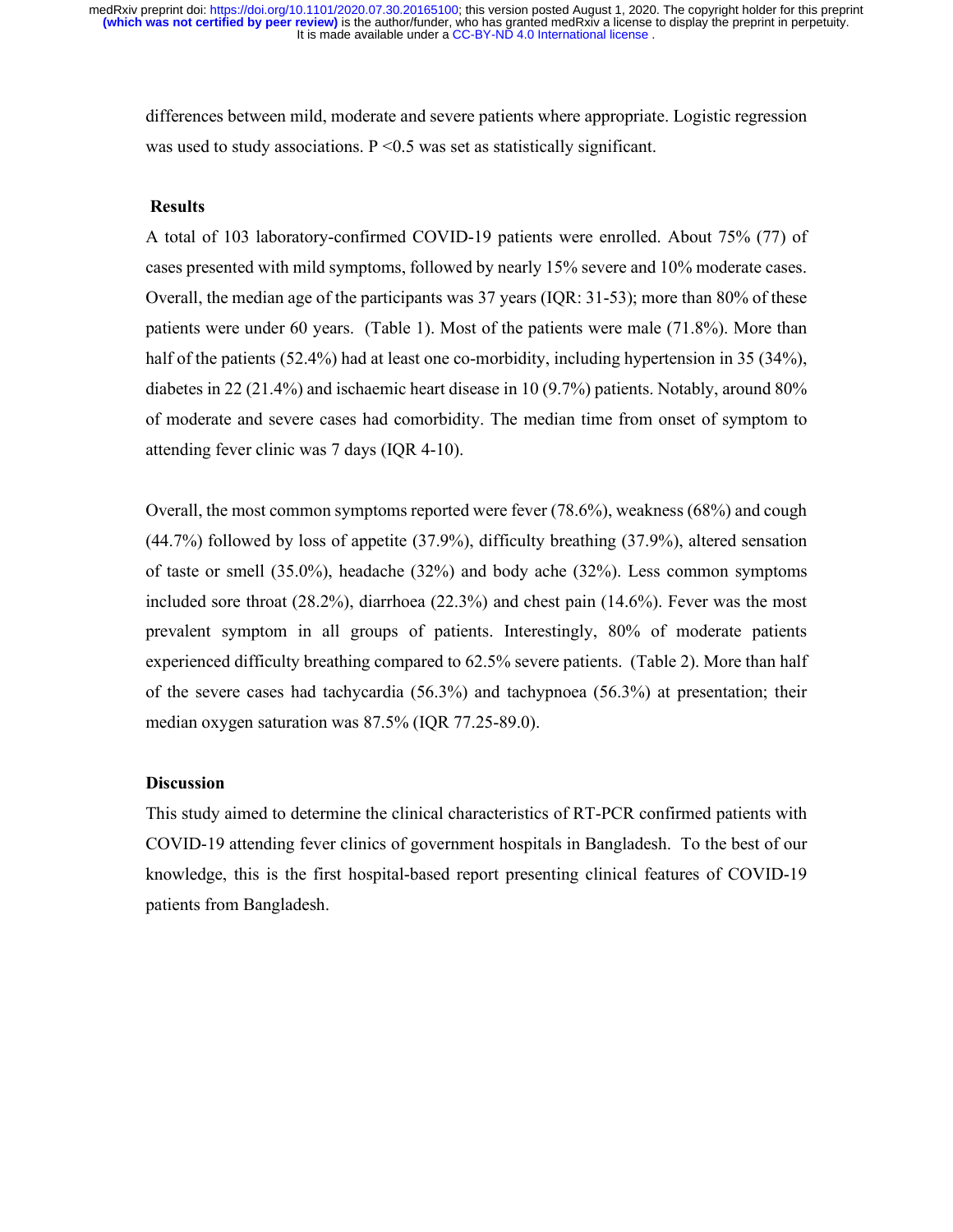differences between mild, moderate and severe patients where appropriate. Logistic regression was used to study associations.  $P \le 0.5$  was set as statistically significant.

# **Results**

A total of 103 laboratory-confirmed COVID-19 patients were enrolled. About 75% (77) of cases presented with mild symptoms, followed by nearly 15% severe and 10% moderate cases. Overall, the median age of the participants was 37 years (IQR: 31-53); more than 80% of these patients were under 60 years. (Table 1). Most of the patients were male (71.8%). More than half of the patients (52.4%) had at least one co-morbidity, including hypertension in 35 (34%), diabetes in 22 (21.4%) and ischaemic heart disease in 10 (9.7%) patients. Notably, around 80% of moderate and severe cases had comorbidity. The median time from onset of symptom to attending fever clinic was 7 days (IQR 4-10).

Overall, the most common symptoms reported were fever (78.6%), weakness (68%) and cough (44.7%) followed by loss of appetite (37.9%), difficulty breathing (37.9%), altered sensation of taste or smell (35.0%), headache (32%) and body ache (32%). Less common symptoms included sore throat  $(28.2\%)$ , diarrhoea  $(22.3\%)$  and chest pain  $(14.6\%)$ . Fever was the most prevalent symptom in all groups of patients. Interestingly, 80% of moderate patients experienced difficulty breathing compared to 62.5% severe patients. (Table 2). More than half of the severe cases had tachycardia (56.3%) and tachypnoea (56.3%) at presentation; their median oxygen saturation was 87.5% (IQR 77.25-89.0).

### **Discussion**

This study aimed to determine the clinical characteristics of RT-PCR confirmed patients with COVID-19 attending fever clinics of government hospitals in Bangladesh. To the best of our knowledge, this is the first hospital-based report presenting clinical features of COVID-19 patients from Bangladesh.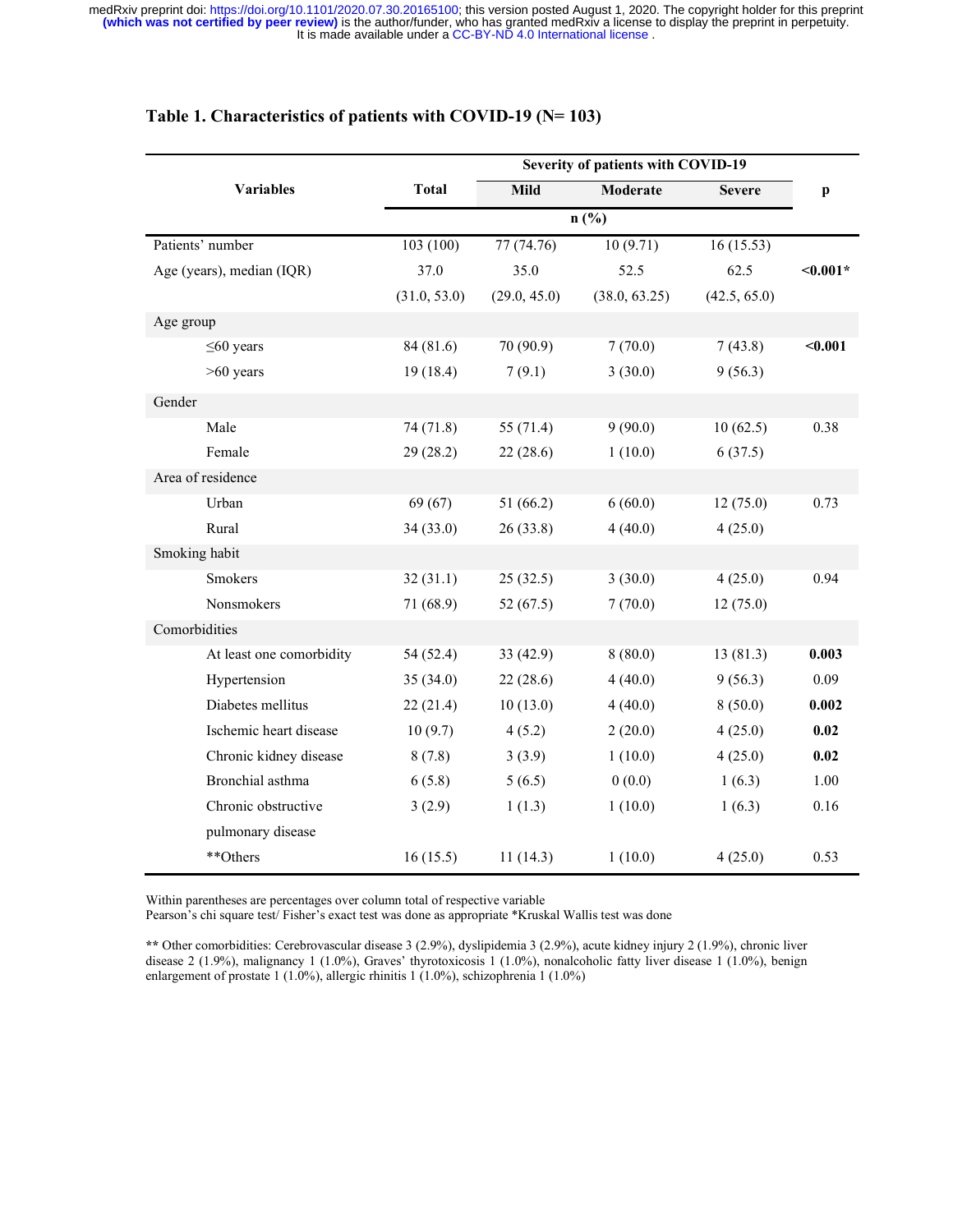| <b>Variables</b>          | <b>Total</b> | Mild         | Moderate      | <b>Severe</b> | p          |
|---------------------------|--------------|--------------|---------------|---------------|------------|
| n(%)                      |              |              |               |               |            |
| Patients' number          | 103(100)     | 77 (74.76)   | 10(9.71)      | 16(15.53)     |            |
| Age (years), median (IQR) | 37.0         | 35.0         | 52.5          | 62.5          | $< 0.001*$ |
|                           | (31.0, 53.0) | (29.0, 45.0) | (38.0, 63.25) | (42.5, 65.0)  |            |
| Age group                 |              |              |               |               |            |
| $\leq 60$ years           | 84 (81.6)    | 70 (90.9)    | 7(70.0)       | 7(43.8)       | $0.001$    |
| $>60$ years               | 19 (18.4)    | 7(9.1)       | 3(30.0)       | 9(56.3)       |            |
| Gender                    |              |              |               |               |            |
| Male                      | 74 (71.8)    | 55 (71.4)    | 9(90.0)       | 10(62.5)      | 0.38       |
| Female                    | 29 (28.2)    | 22(28.6)     | 1(10.0)       | 6(37.5)       |            |
| Area of residence         |              |              |               |               |            |
| Urban                     | 69 (67)      | 51(66.2)     | 6(60.0)       | 12(75.0)      | 0.73       |
| Rural                     | 34(33.0)     | 26(33.8)     | 4(40.0)       | 4(25.0)       |            |
| Smoking habit             |              |              |               |               |            |
| Smokers                   | 32(31.1)     | 25(32.5)     | 3(30.0)       | 4(25.0)       | 0.94       |
| Nonsmokers                | 71 (68.9)    | 52(67.5)     | 7(70.0)       | 12(75.0)      |            |
| Comorbidities             |              |              |               |               |            |
| At least one comorbidity  | 54 (52.4)    | 33 (42.9)    | 8(80.0)       | 13(81.3)      | 0.003      |
| Hypertension              | 35(34.0)     | 22(28.6)     | 4(40.0)       | 9(56.3)       | 0.09       |
| Diabetes mellitus         | 22(21.4)     | 10(13.0)     | 4(40.0)       | 8(50.0)       | 0.002      |
| Ischemic heart disease    | 10(9.7)      | 4(5.2)       | 2(20.0)       | 4(25.0)       | 0.02       |
| Chronic kidney disease    | 8(7.8)       | 3(3.9)       | 1(10.0)       | 4(25.0)       | 0.02       |
| Bronchial asthma          | 6(5.8)       | 5(6.5)       | 0(0.0)        | 1(6.3)        | 1.00       |
| Chronic obstructive       | 3(2.9)       | 1(1.3)       | 1(10.0)       | 1(6.3)        | 0.16       |
| pulmonary disease         |              |              |               |               |            |
| **Others                  | 16(15.5)     | 11(14.3)     | 1(10.0)       | 4(25.0)       | 0.53       |

# **Table 1. Characteristics of patients with COVID-19 (N= 103)**

Within parentheses are percentages over column total of respective variable

Pearson's chi square test/ Fisher's exact test was done as appropriate \*Kruskal Wallis test was done

**\*\*** Other comorbidities: Cerebrovascular disease 3 (2.9%), dyslipidemia 3 (2.9%), acute kidney injury 2 (1.9%), chronic liver disease 2 (1.9%), malignancy 1 (1.0%), Graves' thyrotoxicosis 1 (1.0%), nonalcoholic fatty liver disease 1 (1.0%), benign enlargement of prostate 1 (1.0%), allergic rhinitis 1 (1.0%), schizophrenia 1 (1.0%)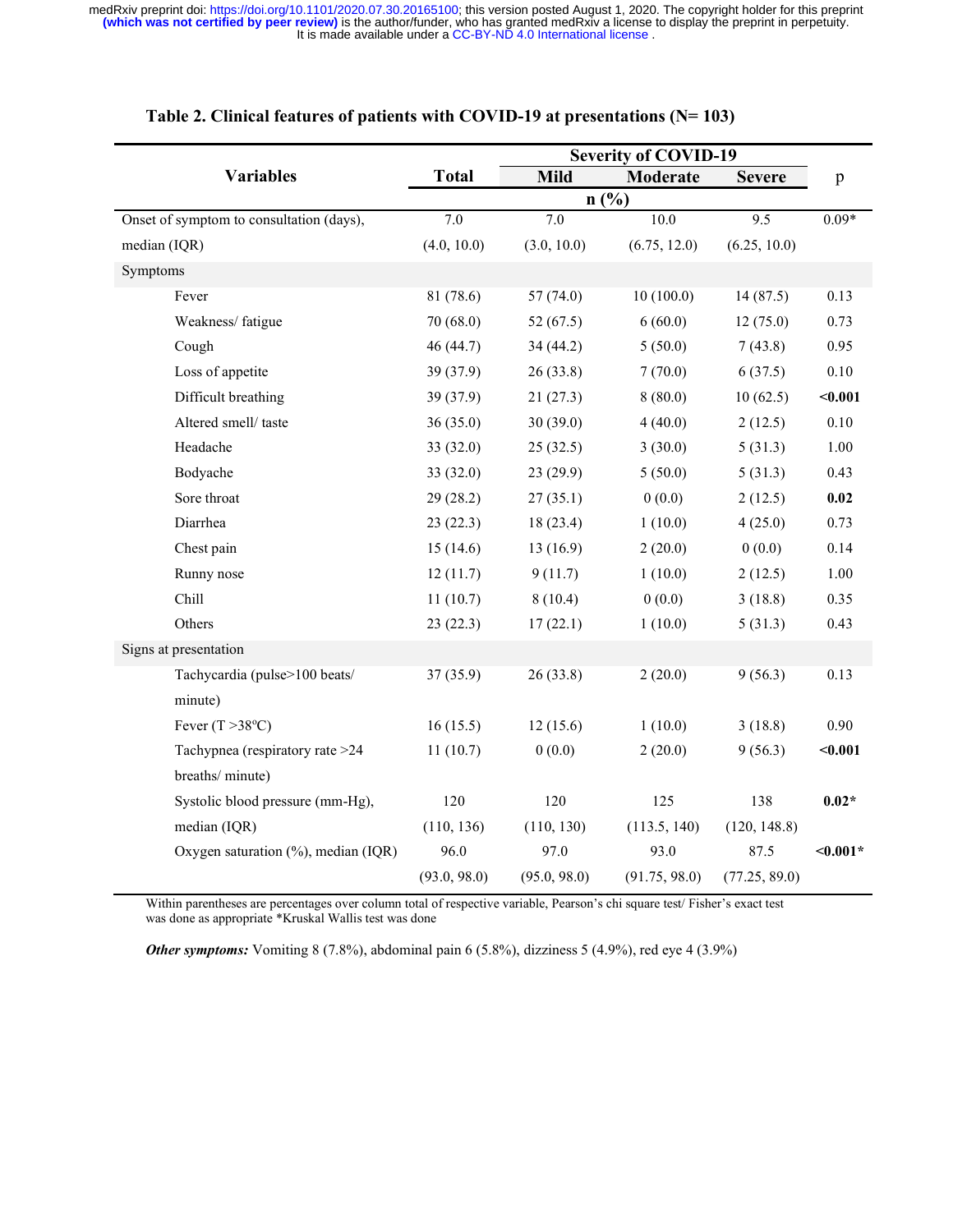|                                          | <b>Severity of COVID-19</b> |              |                 |               |             |
|------------------------------------------|-----------------------------|--------------|-----------------|---------------|-------------|
| <b>Variables</b>                         | <b>Total</b>                | <b>Mild</b>  | <b>Moderate</b> | <b>Severe</b> | $\mathbf p$ |
|                                          |                             | n(%)         |                 |               |             |
| Onset of symptom to consultation (days), | $7.0\,$                     | $7.0\,$      | 10.0            | 9.5           | $0.09*$     |
| median (IQR)                             | (4.0, 10.0)                 | (3.0, 10.0)  | (6.75, 12.0)    | (6.25, 10.0)  |             |
| Symptoms                                 |                             |              |                 |               |             |
| Fever                                    | 81 (78.6)                   | 57(74.0)     | 10(100.0)       | 14(87.5)      | 0.13        |
| Weakness/fatigue                         | 70(68.0)                    | 52(67.5)     | 6(60.0)         | 12(75.0)      | 0.73        |
| Cough                                    | 46 (44.7)                   | 34 (44.2)    | 5(50.0)         | 7(43.8)       | 0.95        |
| Loss of appetite                         | 39 (37.9)                   | 26(33.8)     | 7(70.0)         | 6(37.5)       | 0.10        |
| Difficult breathing                      | 39 (37.9)                   | 21(27.3)     | 8(80.0)         | 10(62.5)      | $0.001$     |
| Altered smell/taste                      | 36(35.0)                    | 30(39.0)     | 4(40.0)         | 2(12.5)       | 0.10        |
| Headache                                 | 33(32.0)                    | 25(32.5)     | 3(30.0)         | 5(31.3)       | 1.00        |
| Bodyache                                 | 33(32.0)                    | 23(29.9)     | 5(50.0)         | 5(31.3)       | 0.43        |
| Sore throat                              | 29(28.2)                    | 27(35.1)     | 0(0.0)          | 2(12.5)       | 0.02        |
| Diarrhea                                 | 23(22.3)                    | 18(23.4)     | 1(10.0)         | 4(25.0)       | 0.73        |
| Chest pain                               | 15(14.6)                    | 13(16.9)     | 2(20.0)         | 0(0.0)        | 0.14        |
| Runny nose                               | 12(11.7)                    | 9(11.7)      | 1(10.0)         | 2(12.5)       | $1.00\,$    |
| Chill                                    | 11(10.7)                    | 8(10.4)      | 0(0.0)          | 3(18.8)       | 0.35        |
| Others                                   | 23(22.3)                    | 17(22.1)     | 1(10.0)         | 5(31.3)       | 0.43        |
| Signs at presentation                    |                             |              |                 |               |             |
| Tachycardia (pulse>100 beats/            | 37(35.9)                    | 26(33.8)     | 2(20.0)         | 9(56.3)       | 0.13        |
| minute)                                  |                             |              |                 |               |             |
| Fever $(T > 38$ °C)                      | 16(15.5)                    | 12(15.6)     | 1(10.0)         | 3(18.8)       | 0.90        |
| Tachypnea (respiratory rate >24          | 11(10.7)                    | 0(0.0)       | 2(20.0)         | 9(56.3)       | $0.001$     |
| breaths/minute)                          |                             |              |                 |               |             |
| Systolic blood pressure (mm-Hg),         | 120                         | 120          | 125             | 138           | $0.02*$     |
| median (IQR)                             | (110, 136)                  | (110, 130)   | (113.5, 140)    | (120, 148.8)  |             |
| Oxygen saturation (%), median (IQR)      | 96.0                        | 97.0         | 93.0            | 87.5          | $< 0.001*$  |
|                                          | (93.0, 98.0)                | (95.0, 98.0) | (91.75, 98.0)   | (77.25, 89.0) |             |

### **Table 2. Clinical features of patients with COVID-19 at presentations (N= 103)**

Within parentheses are percentages over column total of respective variable, Pearson's chi square test/ Fisher's exact test was done as appropriate \*Kruskal Wallis test was done

*Other symptoms:* Vomiting 8 (7.8%), abdominal pain 6 (5.8%), dizziness 5 (4.9%), red eye 4 (3.9%)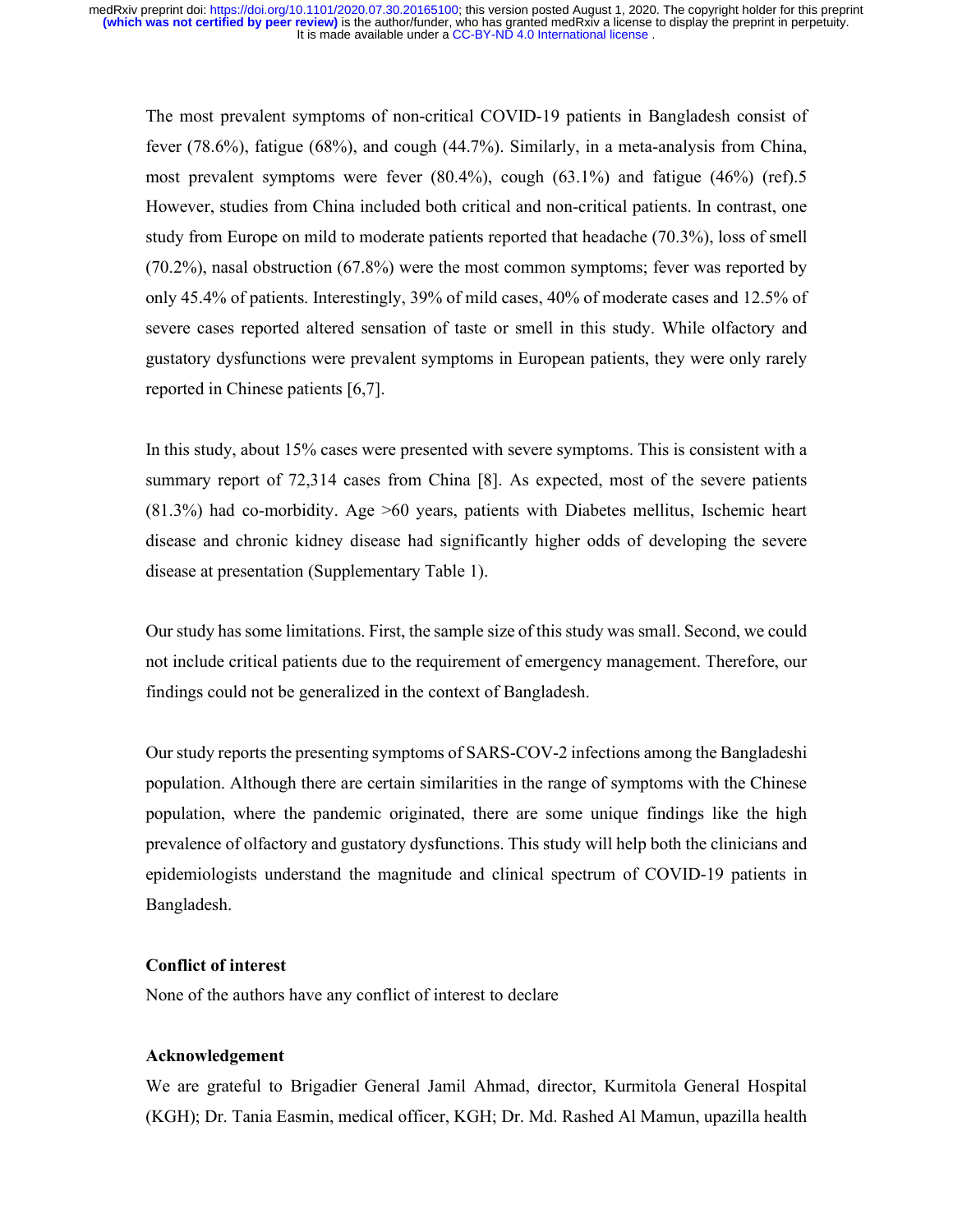The most prevalent symptoms of non-critical COVID-19 patients in Bangladesh consist of fever (78.6%), fatigue (68%), and cough (44.7%). Similarly, in a meta-analysis from China, most prevalent symptoms were fever (80.4%), cough (63.1%) and fatigue (46%) (ref).5 However, studies from China included both critical and non-critical patients. In contrast, one study from Europe on mild to moderate patients reported that headache (70.3%), loss of smell (70.2%), nasal obstruction (67.8%) were the most common symptoms; fever was reported by only 45.4% of patients. Interestingly, 39% of mild cases, 40% of moderate cases and 12.5% of severe cases reported altered sensation of taste or smell in this study. While olfactory and gustatory dysfunctions were prevalent symptoms in European patients, they were only rarely reported in Chinese patients [6,7].

In this study, about 15% cases were presented with severe symptoms. This is consistent with a summary report of 72,314 cases from China [8]. As expected, most of the severe patients (81.3%) had co-morbidity. Age >60 years, patients with Diabetes mellitus, Ischemic heart disease and chronic kidney disease had significantly higher odds of developing the severe disease at presentation (Supplementary Table 1).

Our study has some limitations. First, the sample size of this study was small. Second, we could not include critical patients due to the requirement of emergency management. Therefore, our findings could not be generalized in the context of Bangladesh.

Our study reports the presenting symptoms of SARS-COV-2 infections among the Bangladeshi population. Although there are certain similarities in the range of symptoms with the Chinese population, where the pandemic originated, there are some unique findings like the high prevalence of olfactory and gustatory dysfunctions. This study will help both the clinicians and epidemiologists understand the magnitude and clinical spectrum of COVID-19 patients in Bangladesh.

#### **Conflict of interest**

None of the authors have any conflict of interest to declare

#### **Acknowledgement**

We are grateful to Brigadier General Jamil Ahmad, director, Kurmitola General Hospital (KGH); Dr. Tania Easmin, medical officer, KGH; Dr. Md. Rashed Al Mamun, upazilla health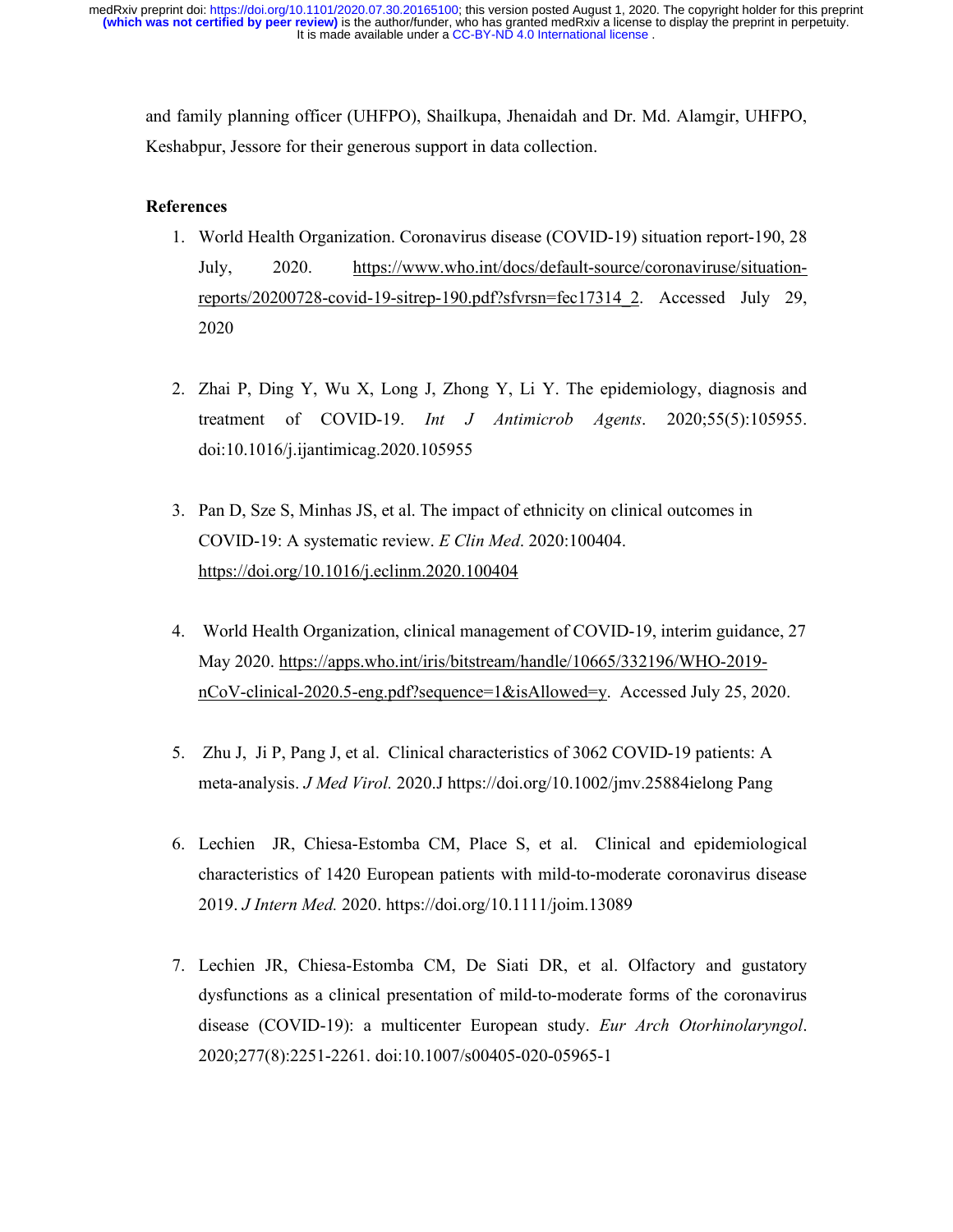It is made available under a CC-BY-ND 4.0 International license. **(which was not certified by peer review)** is the author/funder, who has granted medRxiv a license to display the preprint in perpetuity. medRxiv preprint doi: [https://doi.org/10.1101/2020.07.30.20165100;](https://doi.org/10.1101/2020.07.30.20165100) this version posted August 1, 2020. The copyright holder for this preprint

and family planning officer (UHFPO), Shailkupa, Jhenaidah and Dr. Md. Alamgir, UHFPO, Keshabpur, Jessore for their generous support in data collection.

# **References**

- 1. World Health Organization. Coronavirus disease (COVID-19) situation report-190, 28 July, 2020. https://www.who.int/docs/default-source/coronaviruse/situationreports/20200728-covid-19-sitrep-190.pdf?sfvrsn=fec17314\_2. Accessed July 29, 2020
- 2. Zhai P, Ding Y, Wu X, Long J, Zhong Y, Li Y. The epidemiology, diagnosis and treatment of COVID-19. *Int J Antimicrob Agents*. 2020;55(5):105955. doi:10.1016/j.ijantimicag.2020.105955
- 3. Pan D, Sze S, Minhas JS, et al. The impact of ethnicity on clinical outcomes in COVID-19: A systematic review. *E Clin Med*. 2020:100404. https://doi.org/10.1016/j.eclinm.2020.100404
- 4. World Health Organization, clinical management of COVID-19, interim guidance, 27 May 2020. https://apps.who.int/iris/bitstream/handle/10665/332196/WHO-2019 nCoV-clinical-2020.5-eng.pdf?sequence=1&isAllowed=y. Accessed July 25, 2020.
- 5. Zhu J, Ji P, Pang J, et al. Clinical characteristics of 3062 COVID-19 patients: A meta‐analysis. *J Med Virol.* 2020.J https://doi.org/10.1002/jmv.25884ielong Pang
- 6. Lechien JR, Chiesa‐Estomba CM, Place S, et al. Clinical and epidemiological characteristics of 1420 European patients with mild‐to‐moderate coronavirus disease 2019. *J Intern Med.* 2020. https://doi.org/10.1111/joim.13089
- 7. Lechien JR, Chiesa-Estomba CM, De Siati DR, et al. Olfactory and gustatory dysfunctions as a clinical presentation of mild-to-moderate forms of the coronavirus disease (COVID-19): a multicenter European study. *Eur Arch Otorhinolaryngol*. 2020;277(8):2251-2261. doi:10.1007/s00405-020-05965-1